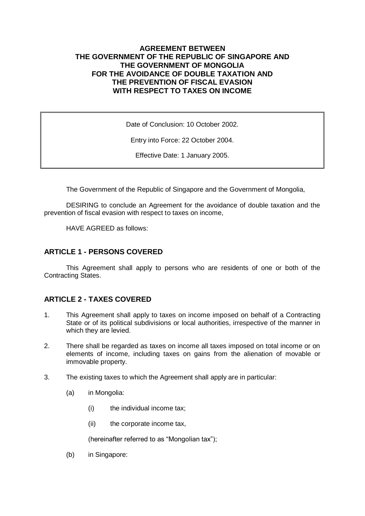### **AGREEMENT BETWEEN THE GOVERNMENT OF THE REPUBLIC OF SINGAPORE AND THE GOVERNMENT OF MONGOLIA FOR THE AVOIDANCE OF DOUBLE TAXATION AND THE PREVENTION OF FISCAL EVASION WITH RESPECT TO TAXES ON INCOME**

Date of Conclusion: 10 October 2002.

Entry into Force: 22 October 2004.

Effective Date: 1 January 2005.

The Government of the Republic of Singapore and the Government of Mongolia,

DESIRING to conclude an Agreement for the avoidance of double taxation and the prevention of fiscal evasion with respect to taxes on income,

HAVE AGREED as follows:

## **ARTICLE 1 - PERSONS COVERED**

This Agreement shall apply to persons who are residents of one or both of the Contracting States.

# **ARTICLE 2 - TAXES COVERED**

- 1. This Agreement shall apply to taxes on income imposed on behalf of a Contracting State or of its political subdivisions or local authorities, irrespective of the manner in which they are levied.
- 2. There shall be regarded as taxes on income all taxes imposed on total income or on elements of income, including taxes on gains from the alienation of movable or immovable property.
- 3. The existing taxes to which the Agreement shall apply are in particular:
	- (a) in Mongolia:
		- (i) the individual income tax;
		- (ii) the corporate income tax,

(hereinafter referred to as "Mongolian tax");

(b) in Singapore: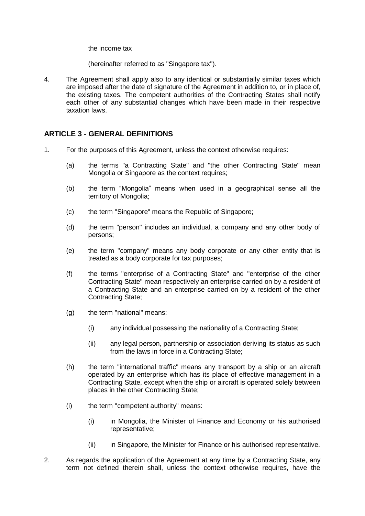the income tax

(hereinafter referred to as "Singapore tax").

4. The Agreement shall apply also to any identical or substantially similar taxes which are imposed after the date of signature of the Agreement in addition to, or in place of, the existing taxes. The competent authorities of the Contracting States shall notify each other of any substantial changes which have been made in their respective taxation laws.

## **ARTICLE 3 - GENERAL DEFINITIONS**

- 1. For the purposes of this Agreement, unless the context otherwise requires:
	- (a) the terms "a Contracting State" and "the other Contracting State" mean Mongolia or Singapore as the context requires;
	- (b) the term "Mongolia" means when used in a geographical sense all the territory of Mongolia;
	- (c) the term "Singapore" means the Republic of Singapore;
	- (d) the term "person" includes an individual, a company and any other body of persons;
	- (e) the term "company" means any body corporate or any other entity that is treated as a body corporate for tax purposes;
	- (f) the terms "enterprise of a Contracting State" and "enterprise of the other Contracting State" mean respectively an enterprise carried on by a resident of a Contracting State and an enterprise carried on by a resident of the other Contracting State;
	- (g) the term "national" means:
		- (i) any individual possessing the nationality of a Contracting State;
		- (ii) any legal person, partnership or association deriving its status as such from the laws in force in a Contracting State;
	- (h) the term "international traffic" means any transport by a ship or an aircraft operated by an enterprise which has its place of effective management in a Contracting State, except when the ship or aircraft is operated solely between places in the other Contracting State;
	- (i) the term "competent authority" means:
		- (i) in Mongolia, the Minister of Finance and Economy or his authorised representative;
		- (ii) in Singapore, the Minister for Finance or his authorised representative.
- 2. As regards the application of the Agreement at any time by a Contracting State, any term not defined therein shall, unless the context otherwise requires, have the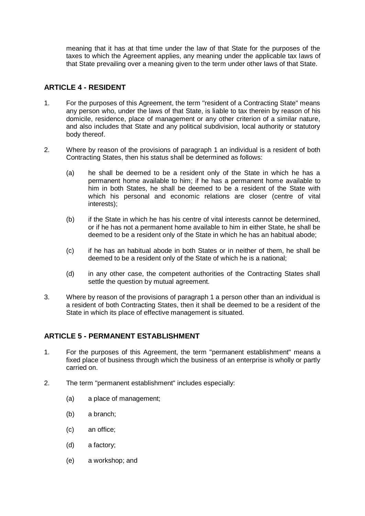meaning that it has at that time under the law of that State for the purposes of the taxes to which the Agreement applies, any meaning under the applicable tax laws of that State prevailing over a meaning given to the term under other laws of that State.

# **ARTICLE 4 - RESIDENT**

- 1. For the purposes of this Agreement, the term "resident of a Contracting State" means any person who, under the laws of that State, is liable to tax therein by reason of his domicile, residence, place of management or any other criterion of a similar nature, and also includes that State and any political subdivision, local authority or statutory body thereof.
- 2. Where by reason of the provisions of paragraph 1 an individual is a resident of both Contracting States, then his status shall be determined as follows:
	- (a) he shall be deemed to be a resident only of the State in which he has a permanent home available to him; if he has a permanent home available to him in both States, he shall be deemed to be a resident of the State with which his personal and economic relations are closer (centre of vital interests);
	- (b) if the State in which he has his centre of vital interests cannot be determined, or if he has not a permanent home available to him in either State, he shall be deemed to be a resident only of the State in which he has an habitual abode;
	- (c) if he has an habitual abode in both States or in neither of them, he shall be deemed to be a resident only of the State of which he is a national;
	- (d) in any other case, the competent authorities of the Contracting States shall settle the question by mutual agreement.
- 3. Where by reason of the provisions of paragraph 1 a person other than an individual is a resident of both Contracting States, then it shall be deemed to be a resident of the State in which its place of effective management is situated.

## **ARTICLE 5 - PERMANENT ESTABLISHMENT**

- 1. For the purposes of this Agreement, the term "permanent establishment" means a fixed place of business through which the business of an enterprise is wholly or partly carried on.
- 2. The term "permanent establishment" includes especially:
	- (a) a place of management;
	- (b) a branch;
	- (c) an office;
	- (d) a factory;
	- (e) a workshop; and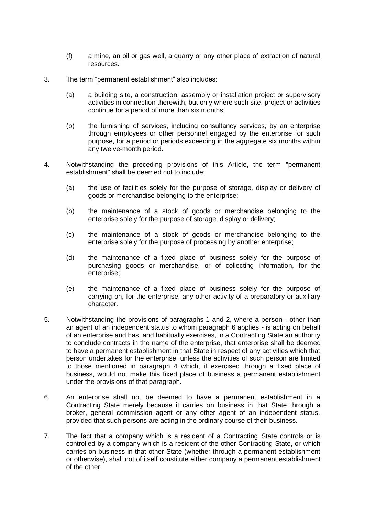- (f) a mine, an oil or gas well, a quarry or any other place of extraction of natural resources.
- 3. The term "permanent establishment" also includes:
	- (a) a building site, a construction, assembly or installation project or supervisory activities in connection therewith, but only where such site, project or activities continue for a period of more than six months;
	- (b) the furnishing of services, including consultancy services, by an enterprise through employees or other personnel engaged by the enterprise for such purpose, for a period or periods exceeding in the aggregate six months within any twelve-month period.
- 4. Notwithstanding the preceding provisions of this Article, the term "permanent establishment" shall be deemed not to include:
	- (a) the use of facilities solely for the purpose of storage, display or delivery of goods or merchandise belonging to the enterprise;
	- (b) the maintenance of a stock of goods or merchandise belonging to the enterprise solely for the purpose of storage, display or delivery;
	- (c) the maintenance of a stock of goods or merchandise belonging to the enterprise solely for the purpose of processing by another enterprise;
	- (d) the maintenance of a fixed place of business solely for the purpose of purchasing goods or merchandise, or of collecting information, for the enterprise;
	- (e) the maintenance of a fixed place of business solely for the purpose of carrying on, for the enterprise, any other activity of a preparatory or auxiliary character.
- 5. Notwithstanding the provisions of paragraphs 1 and 2, where a person other than an agent of an independent status to whom paragraph 6 applies - is acting on behalf of an enterprise and has, and habitually exercises, in a Contracting State an authority to conclude contracts in the name of the enterprise, that enterprise shall be deemed to have a permanent establishment in that State in respect of any activities which that person undertakes for the enterprise, unless the activities of such person are limited to those mentioned in paragraph 4 which, if exercised through a fixed place of business, would not make this fixed place of business a permanent establishment under the provisions of that paragraph.
- 6. An enterprise shall not be deemed to have a permanent establishment in a Contracting State merely because it carries on business in that State through a broker, general commission agent or any other agent of an independent status, provided that such persons are acting in the ordinary course of their business.
- 7. The fact that a company which is a resident of a Contracting State controls or is controlled by a company which is a resident of the other Contracting State, or which carries on business in that other State (whether through a permanent establishment or otherwise), shall not of itself constitute either company a permanent establishment of the other.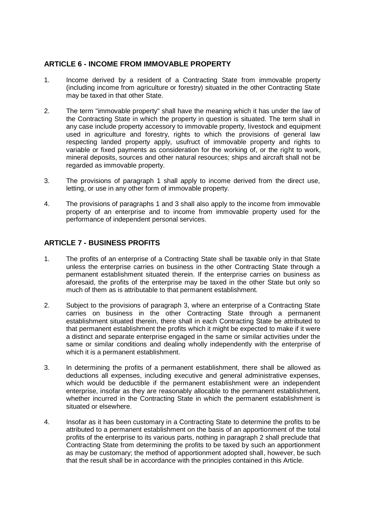## **ARTICLE 6 - INCOME FROM IMMOVABLE PROPERTY**

- 1. Income derived by a resident of a Contracting State from immovable property (including income from agriculture or forestry) situated in the other Contracting State may be taxed in that other State.
- 2. The term "immovable property" shall have the meaning which it has under the law of the Contracting State in which the property in question is situated. The term shall in any case include property accessory to immovable property, livestock and equipment used in agriculture and forestry, rights to which the provisions of general law respecting landed property apply, usufruct of immovable property and rights to variable or fixed payments as consideration for the working of, or the right to work, mineral deposits, sources and other natural resources; ships and aircraft shall not be regarded as immovable property.
- 3. The provisions of paragraph 1 shall apply to income derived from the direct use, letting, or use in any other form of immovable property.
- 4. The provisions of paragraphs 1 and 3 shall also apply to the income from immovable property of an enterprise and to income from immovable property used for the performance of independent personal services.

## **ARTICLE 7 - BUSINESS PROFITS**

- 1. The profits of an enterprise of a Contracting State shall be taxable only in that State unless the enterprise carries on business in the other Contracting State through a permanent establishment situated therein. If the enterprise carries on business as aforesaid, the profits of the enterprise may be taxed in the other State but only so much of them as is attributable to that permanent establishment.
- 2. Subject to the provisions of paragraph 3, where an enterprise of a Contracting State carries on business in the other Contracting State through a permanent establishment situated therein, there shall in each Contracting State be attributed to that permanent establishment the profits which it might be expected to make if it were a distinct and separate enterprise engaged in the same or similar activities under the same or similar conditions and dealing wholly independently with the enterprise of which it is a permanent establishment.
- 3. In determining the profits of a permanent establishment, there shall be allowed as deductions all expenses, including executive and general administrative expenses, which would be deductible if the permanent establishment were an independent enterprise, insofar as they are reasonably allocable to the permanent establishment, whether incurred in the Contracting State in which the permanent establishment is situated or elsewhere.
- 4. Insofar as it has been customary in a Contracting State to determine the profits to be attributed to a permanent establishment on the basis of an apportionment of the total profits of the enterprise to its various parts, nothing in paragraph 2 shall preclude that Contracting State from determining the profits to be taxed by such an apportionment as may be customary; the method of apportionment adopted shall, however, be such that the result shall be in accordance with the principles contained in this Article.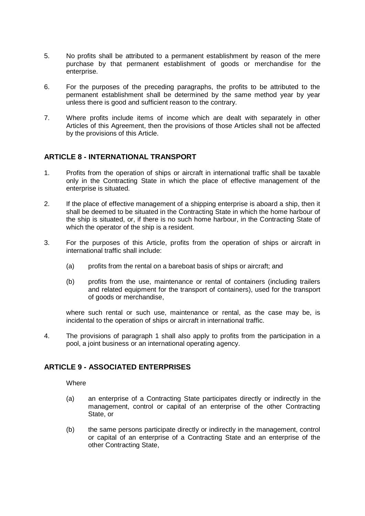- 5. No profits shall be attributed to a permanent establishment by reason of the mere purchase by that permanent establishment of goods or merchandise for the enterprise.
- 6. For the purposes of the preceding paragraphs, the profits to be attributed to the permanent establishment shall be determined by the same method year by year unless there is good and sufficient reason to the contrary.
- 7. Where profits include items of income which are dealt with separately in other Articles of this Agreement, then the provisions of those Articles shall not be affected by the provisions of this Article.

## **ARTICLE 8 - INTERNATIONAL TRANSPORT**

- 1. Profits from the operation of ships or aircraft in international traffic shall be taxable only in the Contracting State in which the place of effective management of the enterprise is situated.
- 2. If the place of effective management of a shipping enterprise is aboard a ship, then it shall be deemed to be situated in the Contracting State in which the home harbour of the ship is situated, or, if there is no such home harbour, in the Contracting State of which the operator of the ship is a resident.
- 3. For the purposes of this Article, profits from the operation of ships or aircraft in international traffic shall include:
	- (a) profits from the rental on a bareboat basis of ships or aircraft; and
	- (b) profits from the use, maintenance or rental of containers (including trailers and related equipment for the transport of containers), used for the transport of goods or merchandise,

where such rental or such use, maintenance or rental, as the case may be, is incidental to the operation of ships or aircraft in international traffic.

4. The provisions of paragraph 1 shall also apply to profits from the participation in a pool, a joint business or an international operating agency.

## **ARTICLE 9 - ASSOCIATED ENTERPRISES**

**Where** 

- (a) an enterprise of a Contracting State participates directly or indirectly in the management, control or capital of an enterprise of the other Contracting State, or
- (b) the same persons participate directly or indirectly in the management, control or capital of an enterprise of a Contracting State and an enterprise of the other Contracting State,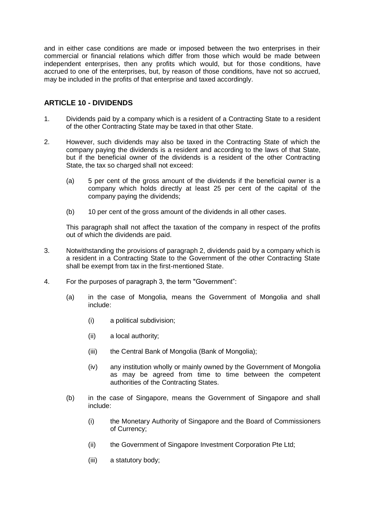and in either case conditions are made or imposed between the two enterprises in their commercial or financial relations which differ from those which would be made between independent enterprises, then any profits which would, but for those conditions, have accrued to one of the enterprises, but, by reason of those conditions, have not so accrued, may be included in the profits of that enterprise and taxed accordingly.

# **ARTICLE 10 - DIVIDENDS**

- 1. Dividends paid by a company which is a resident of a Contracting State to a resident of the other Contracting State may be taxed in that other State.
- 2. However, such dividends may also be taxed in the Contracting State of which the company paying the dividends is a resident and according to the laws of that State, but if the beneficial owner of the dividends is a resident of the other Contracting State, the tax so charged shall not exceed:
	- (a) 5 per cent of the gross amount of the dividends if the beneficial owner is a company which holds directly at least 25 per cent of the capital of the company paying the dividends;
	- (b) 10 per cent of the gross amount of the dividends in all other cases.

This paragraph shall not affect the taxation of the company in respect of the profits out of which the dividends are paid.

- 3. Notwithstanding the provisions of paragraph 2, dividends paid by a company which is a resident in a Contracting State to the Government of the other Contracting State shall be exempt from tax in the first-mentioned State.
- 4. For the purposes of paragraph 3, the term "Government":
	- (a) in the case of Mongolia, means the Government of Mongolia and shall include:
		- (i) a political subdivision;
		- (ii) a local authority;
		- (iii) the Central Bank of Mongolia (Bank of Mongolia);
		- (iv) any institution wholly or mainly owned by the Government of Mongolia as may be agreed from time to time between the competent authorities of the Contracting States.
	- (b) in the case of Singapore, means the Government of Singapore and shall include:
		- (i) the Monetary Authority of Singapore and the Board of Commissioners of Currency;
		- (ii) the Government of Singapore Investment Corporation Pte Ltd;
		- (iii) a statutory body;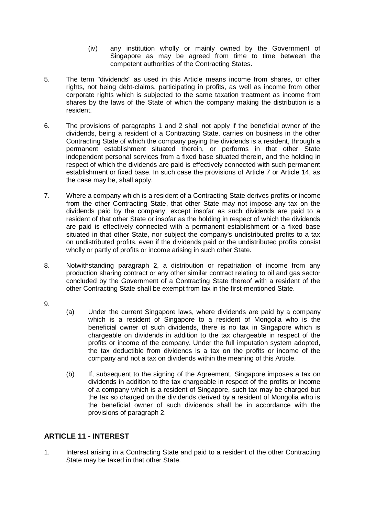- (iv) any institution wholly or mainly owned by the Government of Singapore as may be agreed from time to time between the competent authorities of the Contracting States.
- 5. The term "dividends" as used in this Article means income from shares, or other rights, not being debt-claims, participating in profits, as well as income from other corporate rights which is subjected to the same taxation treatment as income from shares by the laws of the State of which the company making the distribution is a resident.
- 6. The provisions of paragraphs 1 and 2 shall not apply if the beneficial owner of the dividends, being a resident of a Contracting State, carries on business in the other Contracting State of which the company paying the dividends is a resident, through a permanent establishment situated therein, or performs in that other State independent personal services from a fixed base situated therein, and the holding in respect of which the dividends are paid is effectively connected with such permanent establishment or fixed base. In such case the provisions of Article 7 or Article 14, as the case may be, shall apply.
- 7. Where a company which is a resident of a Contracting State derives profits or income from the other Contracting State, that other State may not impose any tax on the dividends paid by the company, except insofar as such dividends are paid to a resident of that other State or insofar as the holding in respect of which the dividends are paid is effectively connected with a permanent establishment or a fixed base situated in that other State, nor subject the company's undistributed profits to a tax on undistributed profits, even if the dividends paid or the undistributed profits consist wholly or partly of profits or income arising in such other State.
- 8. Notwithstanding paragraph 2, a distribution or repatriation of income from any production sharing contract or any other similar contract relating to oil and gas sector concluded by the Government of a Contracting State thereof with a resident of the other Contracting State shall be exempt from tax in the first-mentioned State.
- 9.
- (a) Under the current Singapore laws, where dividends are paid by a company which is a resident of Singapore to a resident of Mongolia who is the beneficial owner of such dividends, there is no tax in Singapore which is chargeable on dividends in addition to the tax chargeable in respect of the profits or income of the company. Under the full imputation system adopted, the tax deductible from dividends is a tax on the profits or income of the company and not a tax on dividends within the meaning of this Article.
- (b) If, subsequent to the signing of the Agreement, Singapore imposes a tax on dividends in addition to the tax chargeable in respect of the profits or income of a company which is a resident of Singapore, such tax may be charged but the tax so charged on the dividends derived by a resident of Mongolia who is the beneficial owner of such dividends shall be in accordance with the provisions of paragraph 2.

# **ARTICLE 11 - INTEREST**

1. Interest arising in a Contracting State and paid to a resident of the other Contracting State may be taxed in that other State.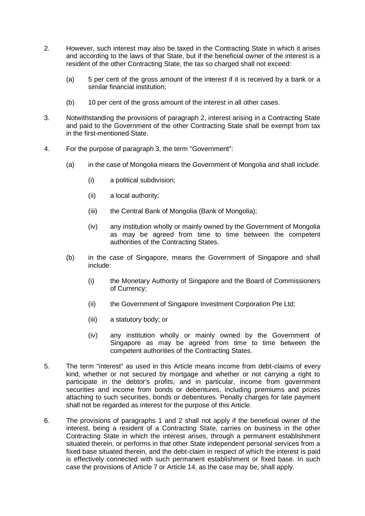- 2. However, such interest may also be taxed in the Contracting State in which it arises and according to the laws of that State, but if the beneficial owner of the interest is a resident of the other Contracting State, the tax so charged shall not exceed:
	- (a) 5 per cent of the gross amount of the interest if it is received by a bank or a similar financial institution;
	- (b) 10 per cent of the gross amount of the interest in all other cases.
- 3. Notwithstanding the provisions of paragraph 2, interest arising in a Contracting State and paid to the Government of the other Contracting State shall be exempt from tax in the first-mentioned State.
- 4. For the purpose of paragraph 3, the term "Government":
	- (a) in the case of Mongolia means the Government of Mongolia and shall include:
		- (i) a political subdivision;
		- (ii) a local authority;
		- (iii) the Central Bank of Mongolia (Bank of Mongolia);
		- (iv) any institution wholly or mainly owned by the Government of Mongolia as may be agreed from time to time between the competent authorities of the Contracting States.
	- (b) in the case of Singapore, means the Government of Singapore and shall include:
		- (i) the Monetary Authority of Singapore and the Board of Commissioners of Currency;
		- (ii) the Government of Singapore Investment Corporation Pte Ltd;
		- (iii) a statutory body; or
		- (iv) any institution wholly or mainly owned by the Government of Singapore as may be agreed from time to time between the competent authorities of the Contracting States.
- 5. The term "interest" as used in this Article means income from debt-claims of every kind, whether or not secured by mortgage and whether or not carrying a right to participate in the debtor's profits, and in particular, income from government securities and income from bonds or debentures, including premiums and prizes attaching to such securities, bonds or debentures. Penalty charges for late payment shall not be regarded as interest for the purpose of this Article.
- 6. The provisions of paragraphs 1 and 2 shall not apply if the beneficial owner of the interest, being a resident of a Contracting State, carries on business in the other Contracting State in which the interest arises, through a permanent establishment situated therein, or performs in that other State independent personal services from a fixed base situated therein, and the debt-claim in respect of which the interest is paid is effectively connected with such permanent establishment or fixed base. In such case the provisions of Article 7 or Article 14, as the case may be, shall apply.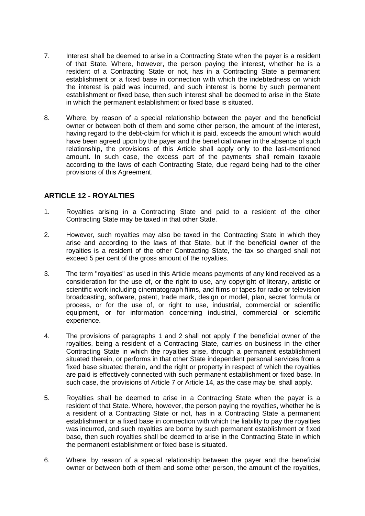- 7. Interest shall be deemed to arise in a Contracting State when the payer is a resident of that State. Where, however, the person paying the interest, whether he is a resident of a Contracting State or not, has in a Contracting State a permanent establishment or a fixed base in connection with which the indebtedness on which the interest is paid was incurred, and such interest is borne by such permanent establishment or fixed base, then such interest shall be deemed to arise in the State in which the permanent establishment or fixed base is situated.
- 8. Where, by reason of a special relationship between the payer and the beneficial owner or between both of them and some other person, the amount of the interest, having regard to the debt-claim for which it is paid, exceeds the amount which would have been agreed upon by the payer and the beneficial owner in the absence of such relationship, the provisions of this Article shall apply only to the last-mentioned amount. In such case, the excess part of the payments shall remain taxable according to the laws of each Contracting State, due regard being had to the other provisions of this Agreement.

# **ARTICLE 12 - ROYALTIES**

- 1. Royalties arising in a Contracting State and paid to a resident of the other Contracting State may be taxed in that other State.
- 2. However, such royalties may also be taxed in the Contracting State in which they arise and according to the laws of that State, but if the beneficial owner of the royalties is a resident of the other Contracting State, the tax so charged shall not exceed 5 per cent of the gross amount of the royalties.
- 3. The term "royalties" as used in this Article means payments of any kind received as a consideration for the use of, or the right to use, any copyright of literary, artistic or scientific work including cinematograph films, and films or tapes for radio or television broadcasting, software, patent, trade mark, design or model, plan, secret formula or process, or for the use of, or right to use, industrial, commercial or scientific equipment, or for information concerning industrial, commercial or scientific experience.
- 4. The provisions of paragraphs 1 and 2 shall not apply if the beneficial owner of the royalties, being a resident of a Contracting State, carries on business in the other Contracting State in which the royalties arise, through a permanent establishment situated therein, or performs in that other State independent personal services from a fixed base situated therein, and the right or property in respect of which the royalties are paid is effectively connected with such permanent establishment or fixed base. In such case, the provisions of Article 7 or Article 14, as the case may be, shall apply.
- 5. Royalties shall be deemed to arise in a Contracting State when the payer is a resident of that State. Where, however, the person paying the royalties, whether he is a resident of a Contracting State or not, has in a Contracting State a permanent establishment or a fixed base in connection with which the liability to pay the royalties was incurred, and such royalties are borne by such permanent establishment or fixed base, then such royalties shall be deemed to arise in the Contracting State in which the permanent establishment or fixed base is situated.
- 6. Where, by reason of a special relationship between the payer and the beneficial owner or between both of them and some other person, the amount of the royalties,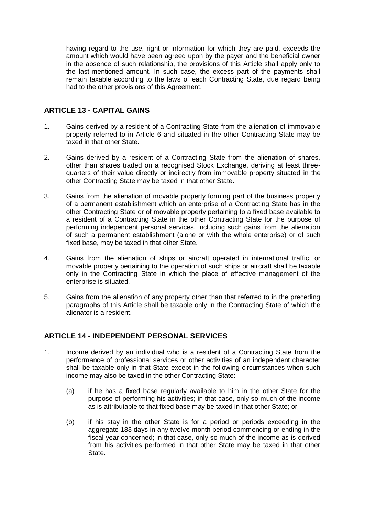having regard to the use, right or information for which they are paid, exceeds the amount which would have been agreed upon by the payer and the beneficial owner in the absence of such relationship, the provisions of this Article shall apply only to the last-mentioned amount. In such case, the excess part of the payments shall remain taxable according to the laws of each Contracting State, due regard being had to the other provisions of this Agreement.

# **ARTICLE 13 - CAPITAL GAINS**

- 1. Gains derived by a resident of a Contracting State from the alienation of immovable property referred to in Article 6 and situated in the other Contracting State may be taxed in that other State.
- 2. Gains derived by a resident of a Contracting State from the alienation of shares, other than shares traded on a recognised Stock Exchange, deriving at least threequarters of their value directly or indirectly from immovable property situated in the other Contracting State may be taxed in that other State.
- 3. Gains from the alienation of movable property forming part of the business property of a permanent establishment which an enterprise of a Contracting State has in the other Contracting State or of movable property pertaining to a fixed base available to a resident of a Contracting State in the other Contracting State for the purpose of performing independent personal services, including such gains from the alienation of such a permanent establishment (alone or with the whole enterprise) or of such fixed base, may be taxed in that other State.
- 4. Gains from the alienation of ships or aircraft operated in international traffic, or movable property pertaining to the operation of such ships or aircraft shall be taxable only in the Contracting State in which the place of effective management of the enterprise is situated.
- 5. Gains from the alienation of any property other than that referred to in the preceding paragraphs of this Article shall be taxable only in the Contracting State of which the alienator is a resident.

## **ARTICLE 14 - INDEPENDENT PERSONAL SERVICES**

- 1. Income derived by an individual who is a resident of a Contracting State from the performance of professional services or other activities of an independent character shall be taxable only in that State except in the following circumstances when such income may also be taxed in the other Contracting State:
	- (a) if he has a fixed base regularly available to him in the other State for the purpose of performing his activities; in that case, only so much of the income as is attributable to that fixed base may be taxed in that other State; or
	- (b) if his stay in the other State is for a period or periods exceeding in the aggregate 183 days in any twelve-month period commencing or ending in the fiscal year concerned; in that case, only so much of the income as is derived from his activities performed in that other State may be taxed in that other State.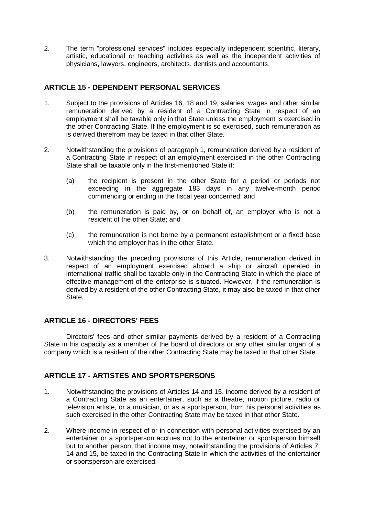2. The term "professional services" includes especially independent scientific, literary, artistic, educational or teaching activities as well as the independent activities of physicians, lawyers, engineers, architects, dentists and accountants.

# **ARTICLE 15 - DEPENDENT PERSONAL SERVICES**

- 1. Subject to the provisions of Articles 16, 18 and 19, salaries, wages and other similar remuneration derived by a resident of a Contracting State in respect of an employment shall be taxable only in that State unless the employment is exercised in the other Contracting State. If the employment is so exercised, such remuneration as is derived therefrom may be taxed in that other State.
- 2. Notwithstanding the provisions of paragraph 1, remuneration derived by a resident of a Contracting State in respect of an employment exercised in the other Contracting State shall be taxable only in the first-mentioned State if:
	- (a) the recipient is present in the other State for a period or periods not exceeding in the aggregate 183 days in any twelve-month period commencing or ending in the fiscal year concerned; and
	- (b) the remuneration is paid by, or on behalf of, an employer who is not a resident of the other State; and
	- (c) the remuneration is not borne by a permanent establishment or a fixed base which the employer has in the other State.
- 3. Notwithstanding the preceding provisions of this Article, remuneration derived in respect of an employment exercised aboard a ship or aircraft operated in international traffic shall be taxable only in the Contracting State in which the place of effective management of the enterprise is situated. However, if the remuneration is derived by a resident of the other Contracting State, it may also be taxed in that other State.

# **ARTICLE 16 - DIRECTORS' FEES**

Directors' fees and other similar payments derived by a resident of a Contracting State in his capacity as a member of the board of directors or any other similar organ of a company which is a resident of the other Contracting State may be taxed in that other State.

## **ARTICLE 17 - ARTISTES AND SPORTSPERSONS**

- 1. Notwithstanding the provisions of Articles 14 and 15, income derived by a resident of a Contracting State as an entertainer, such as a theatre, motion picture, radio or television artiste, or a musician, or as a sportsperson, from his personal activities as such exercised in the other Contracting State may be taxed in that other State.
- 2. Where income in respect of or in connection with personal activities exercised by an entertainer or a sportsperson accrues not to the entertainer or sportsperson himself but to another person, that income may, notwithstanding the provisions of Articles 7, 14 and 15, be taxed in the Contracting State in which the activities of the entertainer or sportsperson are exercised.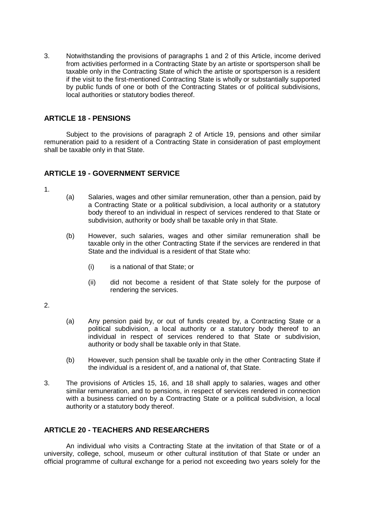3. Notwithstanding the provisions of paragraphs 1 and 2 of this Article, income derived from activities performed in a Contracting State by an artiste or sportsperson shall be taxable only in the Contracting State of which the artiste or sportsperson is a resident if the visit to the first-mentioned Contracting State is wholly or substantially supported by public funds of one or both of the Contracting States or of political subdivisions, local authorities or statutory bodies thereof.

### **ARTICLE 18 - PENSIONS**

Subject to the provisions of paragraph 2 of Article 19, pensions and other similar remuneration paid to a resident of a Contracting State in consideration of past employment shall be taxable only in that State.

### **ARTICLE 19 - GOVERNMENT SERVICE**

1.

- (a) Salaries, wages and other similar remuneration, other than a pension, paid by a Contracting State or a political subdivision, a local authority or a statutory body thereof to an individual in respect of services rendered to that State or subdivision, authority or body shall be taxable only in that State.
- (b) However, such salaries, wages and other similar remuneration shall be taxable only in the other Contracting State if the services are rendered in that State and the individual is a resident of that State who:
	- (i) is a national of that State; or
	- (ii) did not become a resident of that State solely for the purpose of rendering the services.

#### 2.

- (a) Any pension paid by, or out of funds created by, a Contracting State or a political subdivision, a local authority or a statutory body thereof to an individual in respect of services rendered to that State or subdivision, authority or body shall be taxable only in that State.
- (b) However, such pension shall be taxable only in the other Contracting State if the individual is a resident of, and a national of, that State.
- 3. The provisions of Articles 15, 16, and 18 shall apply to salaries, wages and other similar remuneration, and to pensions, in respect of services rendered in connection with a business carried on by a Contracting State or a political subdivision, a local authority or a statutory body thereof.

# **ARTICLE 20 - TEACHERS AND RESEARCHERS**

An individual who visits a Contracting State at the invitation of that State or of a university, college, school, museum or other cultural institution of that State or under an official programme of cultural exchange for a period not exceeding two years solely for the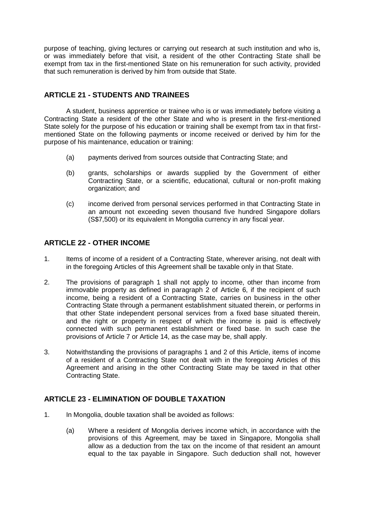purpose of teaching, giving lectures or carrying out research at such institution and who is, or was immediately before that visit, a resident of the other Contracting State shall be exempt from tax in the first-mentioned State on his remuneration for such activity, provided that such remuneration is derived by him from outside that State.

# **ARTICLE 21 - STUDENTS AND TRAINEES**

A student, business apprentice or trainee who is or was immediately before visiting a Contracting State a resident of the other State and who is present in the first-mentioned State solely for the purpose of his education or training shall be exempt from tax in that firstmentioned State on the following payments or income received or derived by him for the purpose of his maintenance, education or training:

- (a) payments derived from sources outside that Contracting State; and
- (b) grants, scholarships or awards supplied by the Government of either Contracting State, or a scientific, educational, cultural or non-profit making organization; and
- (c) income derived from personal services performed in that Contracting State in an amount not exceeding seven thousand five hundred Singapore dollars (S\$7,500) or its equivalent in Mongolia currency in any fiscal year.

# **ARTICLE 22 - OTHER INCOME**

- 1. Items of income of a resident of a Contracting State, wherever arising, not dealt with in the foregoing Articles of this Agreement shall be taxable only in that State.
- 2. The provisions of paragraph 1 shall not apply to income, other than income from immovable property as defined in paragraph 2 of Article 6, if the recipient of such income, being a resident of a Contracting State, carries on business in the other Contracting State through a permanent establishment situated therein, or performs in that other State independent personal services from a fixed base situated therein, and the right or property in respect of which the income is paid is effectively connected with such permanent establishment or fixed base. In such case the provisions of Article 7 or Article 14, as the case may be, shall apply.
- 3. Notwithstanding the provisions of paragraphs 1 and 2 of this Article, items of income of a resident of a Contracting State not dealt with in the foregoing Articles of this Agreement and arising in the other Contracting State may be taxed in that other Contracting State.

# **ARTICLE 23 - ELIMINATION OF DOUBLE TAXATION**

- 1. In Mongolia, double taxation shall be avoided as follows:
	- (a) Where a resident of Mongolia derives income which, in accordance with the provisions of this Agreement, may be taxed in Singapore, Mongolia shall allow as a deduction from the tax on the income of that resident an amount equal to the tax payable in Singapore. Such deduction shall not, however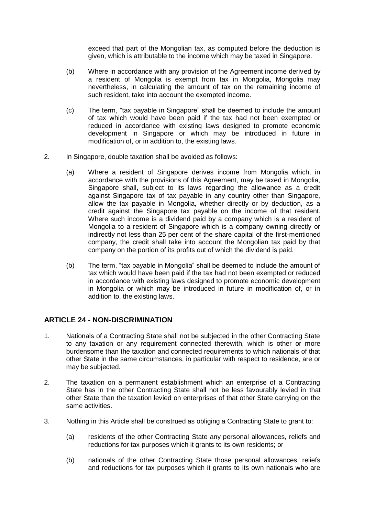exceed that part of the Mongolian tax, as computed before the deduction is given, which is attributable to the income which may be taxed in Singapore.

- (b) Where in accordance with any provision of the Agreement income derived by a resident of Mongolia is exempt from tax in Mongolia, Mongolia may nevertheless, in calculating the amount of tax on the remaining income of such resident, take into account the exempted income.
- (c) The term, "tax payable in Singapore" shall be deemed to include the amount of tax which would have been paid if the tax had not been exempted or reduced in accordance with existing laws designed to promote economic development in Singapore or which may be introduced in future in modification of, or in addition to, the existing laws.
- 2. In Singapore, double taxation shall be avoided as follows:
	- (a) Where a resident of Singapore derives income from Mongolia which, in accordance with the provisions of this Agreement, may be taxed in Mongolia, Singapore shall, subject to its laws regarding the allowance as a credit against Singapore tax of tax payable in any country other than Singapore, allow the tax payable in Mongolia, whether directly or by deduction, as a credit against the Singapore tax payable on the income of that resident. Where such income is a dividend paid by a company which is a resident of Mongolia to a resident of Singapore which is a company owning directly or indirectly not less than 25 per cent of the share capital of the first-mentioned company, the credit shall take into account the Mongolian tax paid by that company on the portion of its profits out of which the dividend is paid.
	- (b) The term, "tax payable in Mongolia" shall be deemed to include the amount of tax which would have been paid if the tax had not been exempted or reduced in accordance with existing laws designed to promote economic development in Mongolia or which may be introduced in future in modification of, or in addition to, the existing laws.

# **ARTICLE 24 - NON-DISCRIMINATION**

- 1. Nationals of a Contracting State shall not be subjected in the other Contracting State to any taxation or any requirement connected therewith, which is other or more burdensome than the taxation and connected requirements to which nationals of that other State in the same circumstances, in particular with respect to residence, are or may be subjected.
- 2. The taxation on a permanent establishment which an enterprise of a Contracting State has in the other Contracting State shall not be less favourably levied in that other State than the taxation levied on enterprises of that other State carrying on the same activities.
- 3. Nothing in this Article shall be construed as obliging a Contracting State to grant to:
	- (a) residents of the other Contracting State any personal allowances, reliefs and reductions for tax purposes which it grants to its own residents; or
	- (b) nationals of the other Contracting State those personal allowances, reliefs and reductions for tax purposes which it grants to its own nationals who are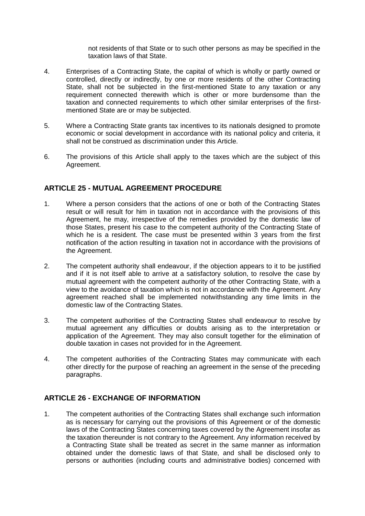not residents of that State or to such other persons as may be specified in the taxation laws of that State.

- 4. Enterprises of a Contracting State, the capital of which is wholly or partly owned or controlled, directly or indirectly, by one or more residents of the other Contracting State, shall not be subjected in the first-mentioned State to any taxation or any requirement connected therewith which is other or more burdensome than the taxation and connected requirements to which other similar enterprises of the firstmentioned State are or may be subjected.
- 5. Where a Contracting State grants tax incentives to its nationals designed to promote economic or social development in accordance with its national policy and criteria, it shall not be construed as discrimination under this Article.
- 6. The provisions of this Article shall apply to the taxes which are the subject of this Agreement.

# **ARTICLE 25 - MUTUAL AGREEMENT PROCEDURE**

- 1. Where a person considers that the actions of one or both of the Contracting States result or will result for him in taxation not in accordance with the provisions of this Agreement, he may, irrespective of the remedies provided by the domestic law of those States, present his case to the competent authority of the Contracting State of which he is a resident. The case must be presented within 3 years from the first notification of the action resulting in taxation not in accordance with the provisions of the Agreement.
- 2. The competent authority shall endeavour, if the objection appears to it to be justified and if it is not itself able to arrive at a satisfactory solution, to resolve the case by mutual agreement with the competent authority of the other Contracting State, with a view to the avoidance of taxation which is not in accordance with the Agreement. Any agreement reached shall be implemented notwithstanding any time limits in the domestic law of the Contracting States.
- 3. The competent authorities of the Contracting States shall endeavour to resolve by mutual agreement any difficulties or doubts arising as to the interpretation or application of the Agreement. They may also consult together for the elimination of double taxation in cases not provided for in the Agreement.
- 4. The competent authorities of the Contracting States may communicate with each other directly for the purpose of reaching an agreement in the sense of the preceding paragraphs.

## **ARTICLE 26 - EXCHANGE OF INFORMATION**

1. The competent authorities of the Contracting States shall exchange such information as is necessary for carrying out the provisions of this Agreement or of the domestic laws of the Contracting States concerning taxes covered by the Agreement insofar as the taxation thereunder is not contrary to the Agreement. Any information received by a Contracting State shall be treated as secret in the same manner as information obtained under the domestic laws of that State, and shall be disclosed only to persons or authorities (including courts and administrative bodies) concerned with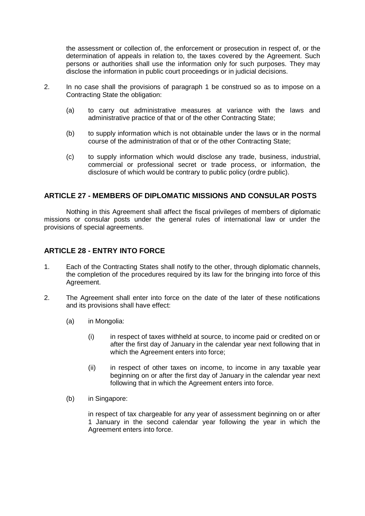the assessment or collection of, the enforcement or prosecution in respect of, or the determination of appeals in relation to, the taxes covered by the Agreement. Such persons or authorities shall use the information only for such purposes. They may disclose the information in public court proceedings or in judicial decisions.

- 2. In no case shall the provisions of paragraph 1 be construed so as to impose on a Contracting State the obligation:
	- (a) to carry out administrative measures at variance with the laws and administrative practice of that or of the other Contracting State;
	- (b) to supply information which is not obtainable under the laws or in the normal course of the administration of that or of the other Contracting State;
	- (c) to supply information which would disclose any trade, business, industrial, commercial or professional secret or trade process, or information, the disclosure of which would be contrary to public policy (ordre public).

### **ARTICLE 27 - MEMBERS OF DIPLOMATIC MISSIONS AND CONSULAR POSTS**

Nothing in this Agreement shall affect the fiscal privileges of members of diplomatic missions or consular posts under the general rules of international law or under the provisions of special agreements.

### **ARTICLE 28 - ENTRY INTO FORCE**

- 1. Each of the Contracting States shall notify to the other, through diplomatic channels, the completion of the procedures required by its law for the bringing into force of this Agreement.
- 2. The Agreement shall enter into force on the date of the later of these notifications and its provisions shall have effect:
	- (a) in Mongolia:
		- (i) in respect of taxes withheld at source, to income paid or credited on or after the first day of January in the calendar year next following that in which the Agreement enters into force;
		- (ii) in respect of other taxes on income, to income in any taxable year beginning on or after the first day of January in the calendar year next following that in which the Agreement enters into force.
	- (b) in Singapore:

in respect of tax chargeable for any year of assessment beginning on or after 1 January in the second calendar year following the year in which the Agreement enters into force.